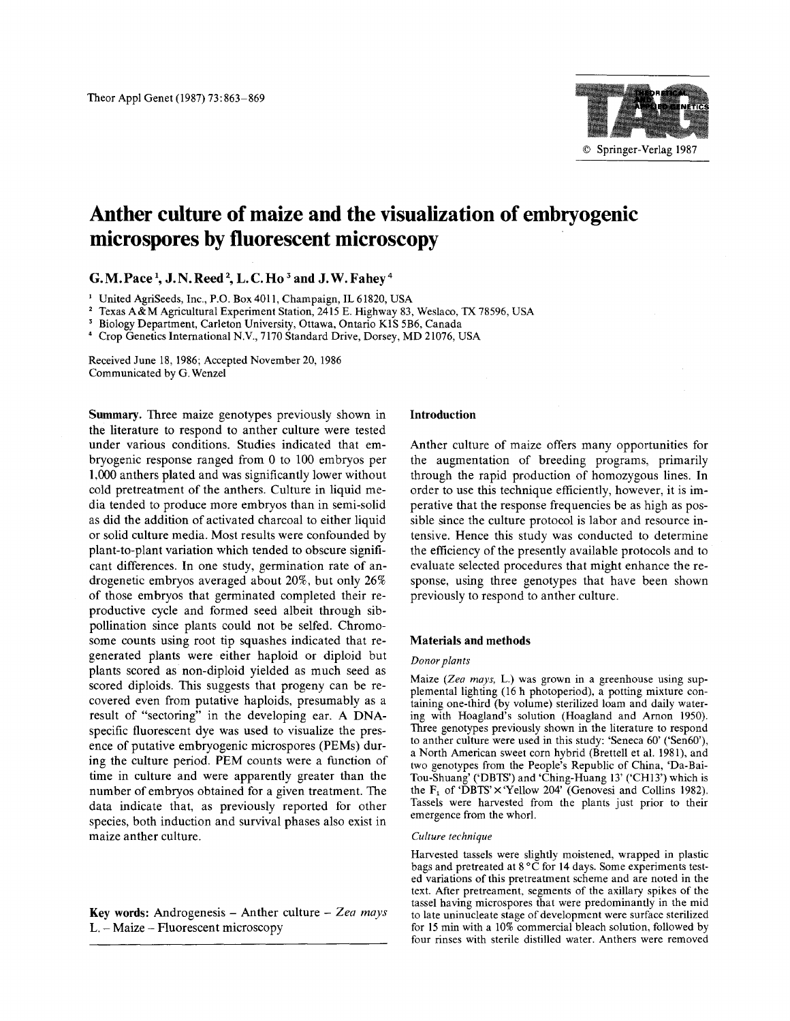

# **Anther culture of maize and the visualization of embryogenic microspores by fluorescent microscopy**

G. M. Pace<sup>1</sup>, J. N. Reed<sup>2</sup>, L. C. Ho<sup>3</sup> and J. W. Fahev<sup>4</sup>

1 United AgriSeeds, Inc., P.O. Box 4011, Champaign, IL 61820, USA

2 Texas A&M Agricultural Experiment Station, 2415 E. Highway 83, Weslaco, TX 78596, USA

<sup>3</sup> Biology Department, Carleton University, Ottawa, Ontario K1S 5B6, Canada

<sup>4</sup> Crop Genetics International N.V., 7170 Standard Drive, Dorsey, MD 21076, USA

Received June 18, 1986; Accepted November 20, 1986 Communicated by G. Wenzel

**Summary. Three** maize genotypes previously shown in the literature to respond to anther culture were tested under various conditions. Studies indicated that embryogenic response ranged from 0 to 100 embryos per 1,000 anthers plated and was significantly lower without cold pretreatment of the anthers. Culture in liquid media tended to produce more embryos than in semi-solid as did the addition of activated charcoal to either liquid or solid culture media. Most results were confounded by plant-to-plant variation which tended to obscure significant differences. In one study, germination rate of androgenetic embryos averaged about 20%, but only 26% of those embryos that germinated completed their reproductive cycle and formed seed albeit through sibpollination since plants could not be selfed. Chromosome counts using root tip squashes indicated that regenerated plants were either haploid or diploid but plants scored as non-diploid yielded as much seed as scored diploids. This suggests that progeny can be recovered even from putative haploids, presumably as a result of "sectoring" in the developing ear. A DNAspecific fluorescent dye was used to visualize the presence of putative embryogenic microspores (PEMs) during the culture period. PEM counts were a function of time in culture and were apparently greater than the number of embryos obtained for a given treatment. The data indicate that, as previously reported for other species, both induction and survival phases also exist in maize anther culture.

# **Key words:** Androgenesis - Anther culture - *Zea mays*  L. - Maize - Fluorescent microscopy

#### **Introduction**

Anther culture of maize offers many opportunities for the augmentation of breeding programs, primarily through the rapid production of homozygous lines. In order to use this technique efficiently, however, it is imperative that the response frequencies be as high as possible since the culture protocol is labor and resource intensive. Hence this study was conducted to determine the efficiency of the presently available protocols and to evaluate selected procedures that might enhance the response, using three genotypes that have been shown previously to respond to anther culture.

## **Materials and methods**

## *Donor plants*

Maize *(Zea mays,* L.) was grown in a greenhouse using supplemental lighting (16 h photoperiod), a potting mixture containing one-third (by volume) sterilized loam and daily watering with Hoagland's solution (Hoagland and Arnon 1950). **Three** genotypes previously shown in the literature to respond to anther culture were used in this study: 'Seneca 60' ('Sen60'), a North American sweet corn hybrid (Brettell et al. 1981), and two genotypes from the People's Republic of China, 'Da-Bai-Tou-Shuang' ('DBTS') and 'Ching-Huang 13' ('CH13') which is the  $F_1$  of 'DBTS'  $\times$  'Yellow 204' (Genovesi and Collins 1982). Tassels were harvested from the plants just prior to their emergence from the whorl.

#### *Culture technique*

Harvested tassels were slightly moistened, wrapped in plastic bags and pretreated at  $8^{\circ}$ C for 14 days. Some experiments tested variations of this pretreatment scheme and are noted in the text. After pretreament, segments of the axillary spikes of the tassel having microspores that were predominantly in the mid to late uninucleate stage of development were surface sterilized for 15 min with a 10% commercial bleach solution, followed by four rinses with sterile distilled water. Anthers were removed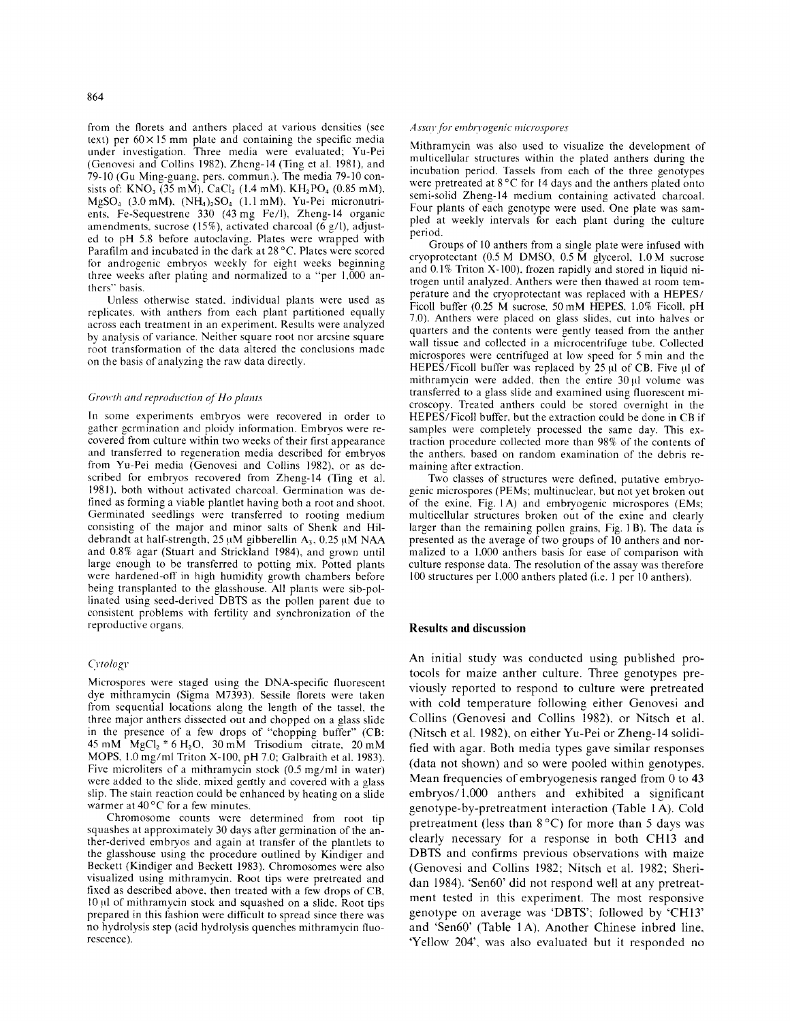from the florets and anthers placed at various densities (see text) per  $60 \times 15$  mm plate and containing the specific media under investigation. Three media were evaluated; Yu-Pei (Genovesi and Collins 1982), Zheng-14 (Ting et al. 1981), and 79-10 (Gu Ming-guang, pers. commun.). The media 79-10 consists of: KNO<sub>3</sub> (35 mM), CaCl<sub>2</sub> (1.4 mM), KH<sub>2</sub>PO<sub>4</sub> (0.85 mM),  $MgSO<sub>4</sub>$  (3.0 mM),  $(NH<sub>4</sub>)<sub>2</sub>SO<sub>4</sub>$  (1.1 mM), Yu-Pei micronutrients, Fe-Sequestrene 330 (43mg Fe/1), Zheng-14 organic amendments, sucrose (15%), activated charcoal (6 g/l), adjusted to pH 5.8 before autoclaving. Plates were wrapped with Parafilm and incubated in the dark at 28 °C. Plates were scored for androgenic embryos weekly for eight weeks beginning three weeks after plating and normalized to a "per 1,000 anthers" basis.

Unless otherwise stated, individual plants were used as replicates, with anthers from each plant partitioned equally across each treatment in an experiment. Results were analyzed by analysis of variance. Neither square root nor arcsine square root transformation of the data altered the conclusions made on the basis of analyzing the raw data directly.

#### *Growth and reproduction of Ho plants*

In some experiments embryos were recovered in order to gather germination and ploidy information. Embryos were recovered from culture within two weeks of their first appearance and transferred to regeneration media described for embryos from Yu-Pei media (Genovesi and Collins 1982), or as described for embryos recovered from Zheng-14 (Ting et al. 1981), both without activated charcoal. Germination was defined as forming a viable plantlet having both a root and shoot. Germinated seedlings were transferred to rooting medium consisting of the major and minor salts of Shenk and Hildebrandt at half-strength, 25 µM gibberellin A<sub>3</sub>, 0.25 µM NAA and 0.8% agar (Stuart and Strickland 1984), and grown until large enough to be transferred to potting mix. Potted plants were hardened-off in high humidity growth chambers before being transplanted to the glasshouse. All plants were sib-pollinated using seed-derived DBTS as the pollen parent due to consistent problems with fertility and synchronization of the reproductive organs.

## *Cytology*

Microspores were staged using the DNA-specific fluorescent dye mithramycin (Sigma M7393). Sessile florets were taken from sequential locations along the length of the tassel, the three major anthers dissected out and chopped on a glass slide in the presence of a few drops of "chopping buffer" (CB:  $45 \text{ mM}$  MgCl<sub>2</sub>  $*$  6 H<sub>2</sub>O, 30 mM Trisodium citrate, 20 mM MOPS, 1.0 mg/ml Triton X-100, pH 7.0; Galbraith et al. 1983). Five microliters of a mithramycin stock (0.5 mg/ml in water) were added to the slide, mixed gently and covered with a glass slip. The stain reaction could be enhanced by heating on a slide warmer at  $40^{\circ}$ C for a few minutes.

Chromosome counts were determined from root tip squashes at approximately 30 days after germination of the anther-derived embryos and again at transfer of the plantlets to the glasshouse using the procedure outlined by Kindiger and Beckett (Kindiger and Beckett 1983). Chromosomes were also visualized using mithramycin. Root tips were pretreated and fixed as described above, then treated with a few drops of CB, 10 td of mithramycin stock and squashed on a slide. Root tips prepared in this fashion were difficult to spread since there was no hydrolysis step (acid hydrolysis quenches mithramycin fluorescence).

#### *Assay for embryogenic microspores*

Mithramycin was also used to visualize the development of multicellular structures within the plated anthers during the incubation period. Tassels from each of the three genotypes were pretreated at 8°C for 14 days and the anthers plated onto semi-solid Zheng-14 medium containing activated charcoal. Four plants of each genotype were used. One plate was sampled at weekly intervals for each plant during the culture period.

Groups of 10 anthers from a single plate were infused with cryoprotectant (0.5 M DMSO, 0.5 M glycerol, 1.0 M sucrose and 0.1% Triton X-100), frozen rapidly and stored in liquid nitrogen until analyzed. Anthers were then thawed at room temperature and the cryoprotectant was replaced with a HEPES/ Ficoll buffer (0.25 M sucrose. 50 mM HEPES, 1.0% Ficoll, pH 7.0). Anthers were placed on glass slides, cut into halves or quarters and the contents were gently teased from the anther wall tissue and collected in a microcentrifuge tube. Collected microspores were centrifuged at low speed for 5 min and the HEPES/Ficoll buffer was replaced by  $25 \mu l$  of CB. Five  $\mu l$  of mithramycin were added, then the entire  $30 \mu l$  volume was transferred to a glass slide and examined using fluorescent microscopy. Treated anthers could be stored overnight in the HEPES/Ficoll buffer, but the extraction could be done in CB if samples were completely processed the same day. This extraction procedure collected more than 98% of the contents of the anthers, based on random examination of the debris remaining after extraction.

Two classes of structures were defined, putative embryogenic microspores (PEMs; multinuclear, but not yet broken out of the exine, Fig. 1A) and embryogenic microspores (EMs; multicellular structures broken out of the exine and clearly larger than the remaining pollen grains, Fig. 1 B). The data is presented as the average of two groups of 10 anthers and normalized to a 1,000 anthers basis for ease of comparison with culture response data. The resolution of the assay was therefore 100 structures per 1,000 anthers plated (i.e. 1 per 10 anthers).

#### **Results and discussion**

An initial study was conducted using published protocols for maize anther culture. Three genotypes previously reported to respond to culture were pretreated with cold temperature following either Genovesi and Collins (Genovesi and Collins 1982), or Nitsch et al. (Nitsch et al. 1982), on either Yu-Pei or Zheng-14 solidified with agar. Both media types gave similar responses (data not shown) and so were pooled within genotypes. Mean frequencies of embryogenesis ranged from 0 to 43 embryos/I,000 anthers and exhibited a significant genotype-by-pretreatment interaction (Table 1 A). Cold pretreatment (less than  $8^{\circ}$ C) for more than 5 days was clearly necessary for a response in both CH13 and DBTS and confirms previous observations with maize (Genovesi and Collins 1982; Nitsch et al. 1982: Sheridan 1984). 'Sen60' did not respond well at any pretreatment tested in this experiment. The most responsive genotype on average was 'DBTS'; followed by 'CH13' and 'Sen60' (Table 1 A). Another Chinese inbred line, 'Yellow 204', was also evaluated but it responded no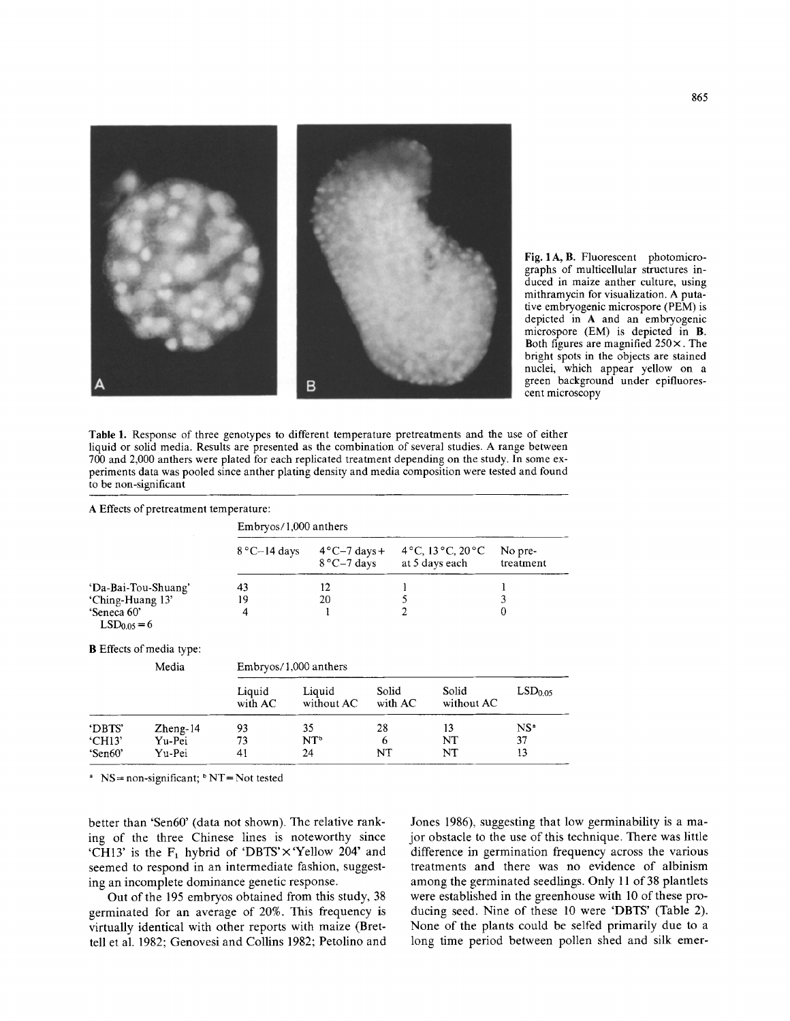

Fig. 1 A, B. Fluorescent photomicrographs of multicellular structures induced in maize anther culture, using mithramycin for visualization. A putative embryogenic microspore (PEM) is depicted in A and an embryogenic microspore (EM) is depicted in B. Both figures are magnified  $250 \times$ . The bright spots in the objects are stained nuclei, which appear yellow on a green background under epifluorescent microscopy

Table 1. Response of three genotypes to different temperature pretreatments and the use of either liquid or solid media. Results are presented as the combination of several studies. A range between 700 and 2,000 anthers were plated for each replicated treatment depending on the study. In some experiments data was pooled since anther plating density and media composition were tested and found to be non-significant

|                                                        | A Effects of pretreatment temperature:   |                       |                                                      |                     |                                                                   |                             |  |  |  |
|--------------------------------------------------------|------------------------------------------|-----------------------|------------------------------------------------------|---------------------|-------------------------------------------------------------------|-----------------------------|--|--|--|
|                                                        |                                          | Embryos/1,000 anthers |                                                      |                     |                                                                   |                             |  |  |  |
|                                                        |                                          | $8^{\circ}$ C-14 days | $4^{\circ}$ C $-7$ days +<br>$8^{\circ}$ C $-7$ days |                     | $4^{\circ}$ C, 13 $^{\circ}$ C, 20 $^{\circ}$ C<br>at 5 days each | No pre-<br>treatment        |  |  |  |
| 'Da-Bai-Tou-Shuang'<br>'Ching-Huang 13'<br>'Seneca 60' |                                          | 43<br>19<br>4         | 12<br>20                                             | 5<br>$\overline{2}$ |                                                                   | 3<br>0                      |  |  |  |
| $LSD0.05=6$                                            | <b>B</b> Effects of media type:<br>Media | Embryos/1,000 anthers |                                                      |                     |                                                                   |                             |  |  |  |
|                                                        |                                          | Liquid<br>with AC     | Liquid<br>without AC                                 | Solid<br>with AC    | Solid<br>without AC                                               | LSD <sub>0.05</sub>         |  |  |  |
| 'DBTS'<br><b>CH13</b><br>'Sen60'                       | $Z$ heng-14<br>Yu-Pei<br>Yu-Pei          | 93<br>73<br>41        | 35<br>$NT^{\circ}$<br>24                             | 28<br>6<br>NT       | 13<br>NT<br>NT                                                    | NS <sup>a</sup><br>37<br>13 |  |  |  |

 $N = non-significant; b NT = Not tested$ 

better than 'Sen60' (data not shown). The relative ranking of the three Chinese lines is noteworthy since 'CH13' is the  $F_1$  hybrid of 'DBTS'  $\times$  'Yellow 204' and seemed to respond in an intermediate fashion, suggesting an incomplete dominance genetic response.

Out of the 195 embryos obtained from this study, 38 germinated for an average of 20%. This frequency is virtually identical with other reports with maize (Brettell et al. 1982; Genovesi and Collins 1982; Petolino and

Jones 1986), suggesting that low germinability is a major obstacle to the use of this technique. There was little difference in germination frequency across the various treatments and there was no evidence of albinism among the germinated seedlings. Only 11 of 38 plantlets were established in the greenhouse with 10 of these producing seed. Nine of these 10 were 'DBTS' (Table 2). None of the plants could be selfed primarily due to a long time period between pollen shed and silk emer-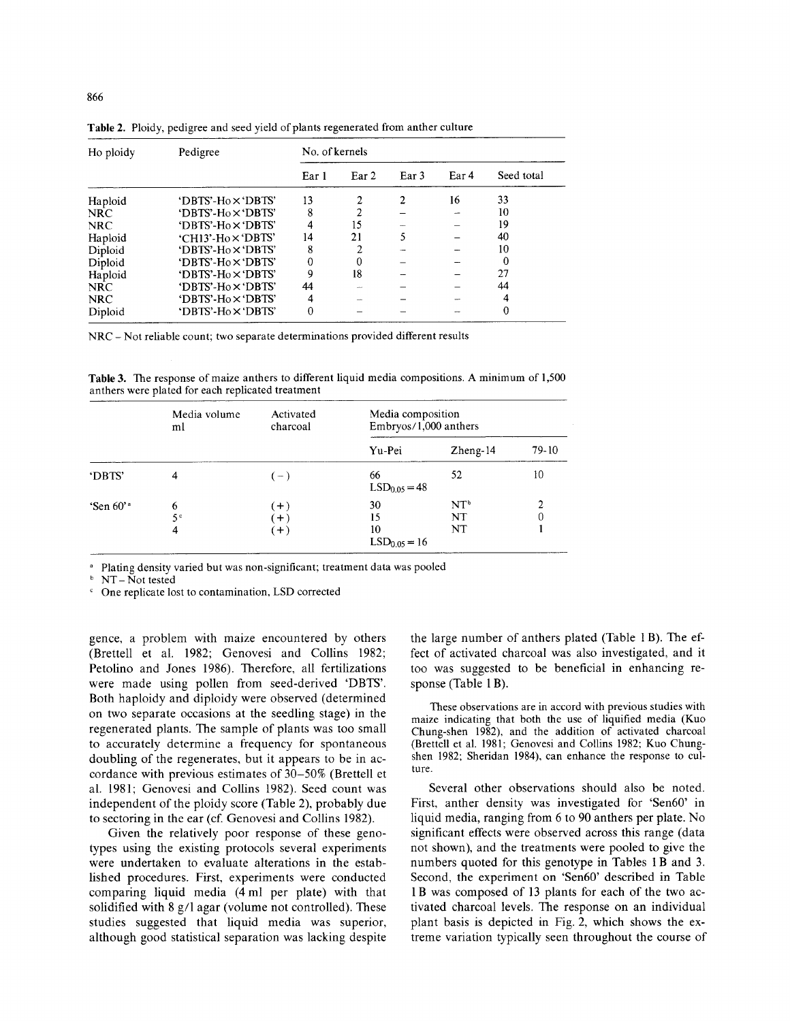| Ho ploidy  | Pedigree                  | No. of kernels |                  |                  |       |            |  |
|------------|---------------------------|----------------|------------------|------------------|-------|------------|--|
|            |                           | Ear 1          | Ear <sub>2</sub> | Ear <sub>3</sub> | Ear 4 | Seed total |  |
| Haploid    | 'DBTS'-Ho×'DBTS'          | 13             | 2                | 2                | 16    | 33         |  |
| <b>NRC</b> | 'DBTS'-Ho×'DBTS'          | 8              |                  |                  |       | 10         |  |
| <b>NRC</b> | 'DBTS'-Ho×'DBTS'          | 4              | 15               |                  |       | 19         |  |
| Haploid    | 'CH13'-Ho×'DBTS'          | 14             | 21               | 5                |       | 40         |  |
| Diploid    | 'DBTS'-Ho $\times$ 'DBTS' | 8              | 2                |                  |       | 10         |  |
| Diploid    | 'DBTS'-Ho x 'DBTS'        | 0              | 0                |                  |       | 0          |  |
| Haploid    | 'DBTS'-Ho×'DBTS'          | 9              | 18               |                  |       | 27         |  |
| <b>NRC</b> | 'DBTS'-Ho $\times$ 'DBTS' | 44             |                  |                  |       | 44         |  |
| <b>NRC</b> | 'DBTS'-Ho×'DBTS'          | 4              |                  |                  |       | 4          |  |
| Diploid    | 'DBTS'-Ho $\times$ 'DBTS' | 0              |                  |                  |       | 0          |  |

Table 2. Ploidy, pedigree and seed yield of plants regenerated from anther culture

NRC - Not reliable count; two separate determinations provided different results

Table 3. The response of maize anthers to different liquid media compositions. A minimum of 1,500 anthers were plated for each replicated treatment

|                          | Media volume<br>ml       | Activated<br>charcoal | Media composition<br>Embryos/1,000 anthers |                             |         |  |
|--------------------------|--------------------------|-----------------------|--------------------------------------------|-----------------------------|---------|--|
|                          |                          |                       | Yu-Pei                                     | $Z$ heng- $14$              | $79-10$ |  |
| 'DBTS'                   | 4                        | $(-)$                 | 66<br>$LSD0.05 = 48$                       | 52                          | 10      |  |
| 'Sen $60$ ' <sup>a</sup> | 6<br>5 <sup>c</sup><br>4 | $+)$<br>$+$<br>$(+)$  | 30<br>15<br>10<br>$LSD0.05 = 16$           | NT <sup>b</sup><br>NT<br>NT | 2<br>0  |  |

<sup>a</sup> Plating density varied but was non-significant; treatment data was pooled

**b NT-** Not tested

One replicate lost to contamination, LSD corrected

gence, a problem with maize encountered by others (Brettell et al. 1982; Genovesi and Collins 1982; Petolino and Jones 1986). Therefore, all fertilizations were made using pollen from seed-derived 'DBTS'. Both haploidy and diploidy were observed (determined on two separate occasions at the seedling stage) in the regenerated plants. The sample of plants was too small to accurately determine a frequency for spontaneous doubling of the regenerates, but it appears to be in accordance with previous estimates of 30-50% (Brettell et al. 1981; Genovesi and Collins 1982). Seed count was independent of the ploidy score (Table 2), probably due to sectoring in the ear (cf. Genovesi and Collins 1982).

Given the relatively poor response of these genotypes using the existing protocols several experiments were undertaken to evaluate alterations in the established procedures. First, experiments were conducted comparing liquid media (4 ml per plate) with that solidified with 8 g/1 agar (volume not controlled). These studies suggested that liquid media was superior, although good statistical separation was lacking despite the large number of anthers plated (Table 1 B). The effect of activated charcoal was also investigated, and it too was suggested to be beneficial in enhancing response (Table 1 B).

These observations are in accord with previous studies with maize indicating that both the use of liquified media (Kuo Chung-shen 1982), and the addition of activated charcoal (Brettell et al. 1981; Genovesi and Collins 1982; Kuo Chungshen 1982; Sheridan 1984), can enhance the response to culture.

Several other observations should also be noted. First, anther density was investigated for 'Sen60' in liquid media, ranging from 6 to 90 anthers per plate. No significant effects were observed across this range (data not shown), and the treatments were pooled to give the numbers quoted for this genotype in Tables 1 B and 3. Second, the experiment on 'Sen60' described in Table 1B was composed of 13 plants for each of the two activated charcoal levels. The response on an individual plant basis is depicted in Fig. 2, which shows the extreme variation typically seen throughout the course of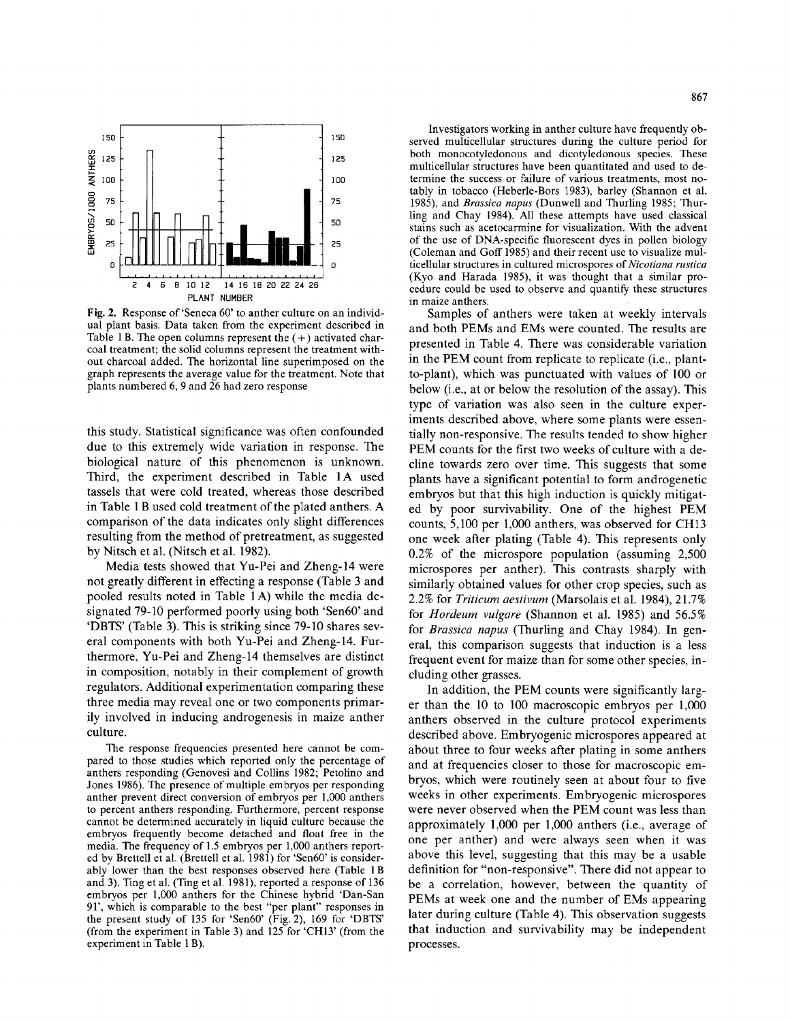

**Fig.** 2. Response of'Seneca 60' to anther culture on an individual plant basis. Data taken from the experiment described in Table 1 B. The open columns represent the  $(+)$  activated charcoal treatment; the solid columns represent the treatment without charcoal added. The horizontal line superimposed on the graph represents the average value for the treatment. Note that plants numbered 6, 9 and 26 had zero response

this study. Statistical significance was often confounded due to this extremely wide variation in response. The biological nature of this phenomenon is unknown. Third, the experiment described in Table 1A used tassels that were cold treated, whereas those described in Table 1 B used cold treatment of the plated anthers. A comparison of the data indicates only slight differences resulting from the method of pretreatment, as suggested by Nitsch et al. (Nitsch et al. 1982).

Media tests showed that Yu-Pei and Zheng-14 were not greatly different in effecting a response (Table 3 and pooled results noted in Table 1 A) while the media designated 79-10 performed poorly using both 'Sen60' and 'DBTS' (Table 3). This is striking since 79-10 shares several components with both Yu-Pei and Zheng-14. Furthermore, Yu-Pei and Zheng-14 themselves are distinct in composition, notably in their complement of growth regulators. Additional experimentation comparing these three media may reveal one or two components primarily involved in inducing androgenesis in maize anther culture.

The response frequencies presented here cannot be compared to those studies which reported only the percentage of anthers responding (Genovesi and Collins 1982; Petolino and Jones 1986). The presence of multiple embryos per responding anther prevent direct conversion of embryos per 1,000 anthers to percent anthers responding. Furthermore, percent response cannot be determined accurately in liquid culture because the embryos frequently become detached and float free in the media. The frequency of 1.5 embryos per 1,000 anthers reported by Brettell et al. (Brettell et al. 1981) for 'Sen60' is considerably lower than the best responses observed here (Table 1 B and 3). Ting et al. (Ting et al. 1981), reported a response of 136 embryos per 1,000 anthers for the Chinese hybrid 'Dan-San 91', which is comparable to the best "per plant" responses in the present study of 135 for 'Sen60' (Fig. 2), 169 for 'DBTS' (from the experiment in Table 3) and  $125$  for 'CH13' (from the experiment in Table 1 B).

Investigators working in anther culture have frequently observed multicellular structures during the culture period for both monocotyledonous and dicotyledonous species. These multicellular structures have been quantitated and used to determine the success or failure of various treatments, most notably in tobacco (Heberle-Bors 1983), barley (Shannon et al. 1985), and *Brassica napus* (Dunwell and Thurling 1985; Thurling and Chay 1984). All these attempts have used classical stains such as acetocarmine for visualization. With the advent of the use of DNA-specific fluorescent dyes in pollen biology (Coleman and Goff 1985) and their recent use to visualize multicellular structures in cultured microspores of Nicotiana rustica (Kyo and Harada 1985), it was thought that a similar procedure could be used to observe and quantify these structures in maize anthers.

Samples of anthers were taken at weekly intervals and both PEMs and EMs were counted. The results are presented in Table 4. There was considerable variation in the PEM count from replicate to replicate (i.e., plantto-plant), which was punctuated with values of 100 or below (i.e., at or below the resolution of the assay). This type of variation was also seen in the culture experiments described above, where some plants were essentially non-responsive. The results tended to show higher PEM counts for the first two weeks of culture with a decline towards zero over time. This suggests that some plants have a significant potential to form androgenetic embryos but that this high induction is quickly mitigated by poor survivability. One of the highest PEM counts, 5,100 per 1,000 anthers, was observed for CH13 one week after plating (Table 4). This represents only 0.2% of the microspore population (assuming 2,500 microspores per anther). This contrasts sharply with similarly obtained values for other crop species, such as 2.2% for *Triticum aestivum* (Marsolais et al. 1984), 21.7% for *Hordeum vulgare* (Shannon et al. 1985) and 56.5% for *Brassica napus* (Thurling and Chay 1984). In general, this comparison suggests that induction is a less frequent event for maize than for some other species, including other grasses.

In addition, the PEM counts were significantly larger than the l0 to 100 macroscopic embryos per 1,000 anthers observed in the culture protocol experiments described above. Embryogenic microspores appeared at about three to four weeks after plating in some anthers and at frequencies closer to those for macroscopic embryos, which were routinely seen at about four to five weeks in other experiments. Embryogenic microspores were never observed when the PEM count was less than approximately 1,000 per 1,000 anthers (i.e., average of one per anther) and were always seen when it was above this level, suggesting that this may be a usable definition for "non-responsive". There did not appear to be a correlation, however, between the quantity of PEMs at week one and the number of EMs appearing later during culture (Table 4). This observation suggests that induction and survivability may be independent processes.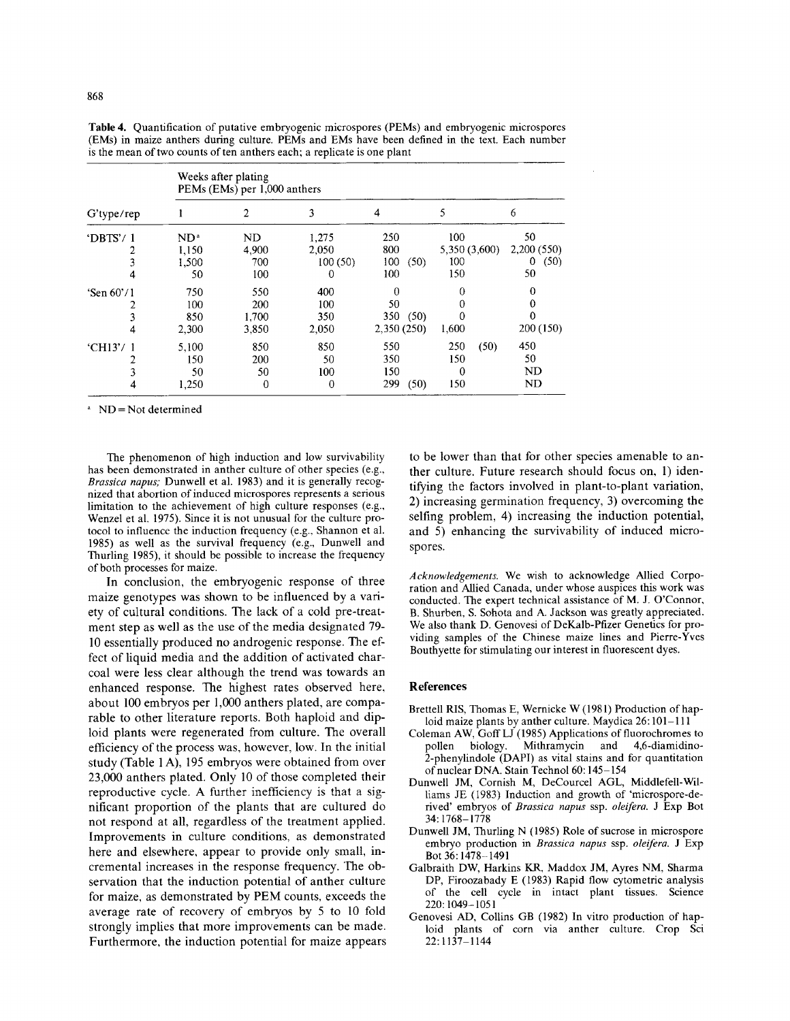|              | Weeks after plating<br>PEMs (EMs) per 1,000 anthers |                |          |             |               |            |  |
|--------------|-----------------------------------------------------|----------------|----------|-------------|---------------|------------|--|
| G'type/rep   |                                                     | $\overline{2}$ | 3        | 4           | 5             | 6          |  |
| 'DBTS'/1     | ND <sup>a</sup>                                     | ND             | 1,275    | 250         | 100           | 50         |  |
|              | 1,150                                               | 4,900          | 2,050    | 800         | 5,350 (3,600) | 2,200(550) |  |
|              | 1,500                                               | 700            | 100(50)  | 100<br>(50) | 100           | (50)<br>0  |  |
| 4            | 50                                                  | 100            | $\bf{0}$ | 100         | 150           | 50         |  |
| 'Sen $60'/1$ | 750                                                 | 550            | 400      | $\Omega$    | 0             | 0          |  |
|              | 100                                                 | 200            | 100      | 50          | 0             |            |  |
|              | 850                                                 | 1,700          | 350      | 350<br>(50) | 0             | 0          |  |
| 4            | 2,300                                               | 3,850          | 2,050    | 2,350 (250) | 1,600         | 200 (150)  |  |
| 'CH13'/1     | 5.100                                               | 850            | 850      | 550         | 250<br>(50)   | 450        |  |
|              | 150                                                 | 200            | 50       | 350         | 150           | 50         |  |
|              | 50                                                  | 50             | 100      | 150         | 0             | ND         |  |
|              | 1,250                                               | 0              | 0        | 299<br>(50) | 150           | ND         |  |

Table 4. Quantification of putative embryogenic microspores (PEMs) and embryogenic microspores (EMs) in maize anthers during culture. PEMs and EMs have been defined in the text. Each number is the mean of two counts of ten anthers each; a replicate is one plant

 $N = Not determined$ 

The phenomenon of high induction and low survivability has been demonstrated in anther culture of other species (e.g., *Brassica napus;* Dunwell et al. 1983) and it is generally recognized that abortion of induced microspores represents a serious limitation to the achievement of high culture responses (e.g., Wenzel et al. 1975). Since it is not unusual for the culture protocol to influence the induction frequency (e.g., Shannon et al. 1985) as well as the survival frequency (e.g., Dunwell and Thurling 1985), it should be possible to increase the frequency of both processes for maize.

In conclusion, the embryogenic response of three maize genotypes was shown to be influenced by a variety of cultural conditions. The lack of a cold pre-treatment step as well as the use of the media designated 79- 10 essentially produced no androgenic response. The effect of liquid media and the addition of activated charcoal were less clear although the trend was towards an enhanced response. The highest rates observed here, about 100 embryos per 1,000 anthers plated, are comparable to other literature reports. Both haploid and diploid plants were regenerated from culture. The overall efficiency of the process was, however, low. In the initial study (Table 1 A), 195 embryos were obtained from over 23,000 anthers plated. Only 10 of those completed their reproductive cycle. A further inefficiency is that a significant proportion of the plants that are cultured do not respond at all, regardless of the treatment applied. Improvements in culture conditions, as demonstrated here and elsewhere, appear to provide only small, incremental increases in the response frequency. The observation that the induction potential of anther culture for maize, as demonstrated by PEM counts, exceeds the average rate of recovery of embryos by 5 to 10 fold strongly implies that more improvements can be made. Furthermore, the induction potential for maize appears to be lower than that for other species amenable to anther culture. Future research should focus on, 1) identifying the factors involved in plant-to-plant variation, 2) increasing germination frequency, 3) overcoming the selfing problem, 4) increasing the induction potential, and 5) enhancing the survivability of induced microspores.

*Acknowledgements.* We wish to acknowledge Allied Corporation and Allied Canada, under whose auspices this work was conducted. The expert technical assistance of M. J. O'Connor, B. Shurben, S. Sohota and A. Jackson was greatly appreciated. We also thank D. Genovesi of DeKalb-Pfizer Genetics for providing samples of the Chinese maize lines and Pierre-Yves Bouthyette for stimulating our interest in fluorescent dyes.

#### **References**

- Brettell RIS, Thomas E, Wernicke W (1981) Production of haploid maize plants by anther culture. Maydica 26:101-111
- Coleman AW, Goff LJ (1985) Applications of fluorochromes to pollen biology. Mithramycin and 4,6-diamidino-2-phenylindole (DAPI) as vital stains and for quantitation of nuclear DNA. Stain Technol 60:145-154
- Dunwell JM, Cornish M, DeCourcel AGL, Middlefell-Williams JE (1983) Induction and growth of 'microspore-derived' embryos of *Brassica napus* ssp. *oleifera.* J Exp Bot 34:1768-1778
- Dunwell JM, Thurling N (1985) Role of sucrose in microspore embryo production in *Brassica napus* ssp. *oleifera.* J Exp Bot 36:1478-1491
- Galbraith DW, Harkins KR, Maddox JM, Ayres NM, Sharma DP, Firoozabady E (1983) Rapid flow cytometric analysis of the cell cycle in intact plant tissues. Science 220:1049-1051
- Genovesi AD, Collins GB (1982) In vitro production of haploid plants of corn via anther culture. Crop Sci 22:1137-1144